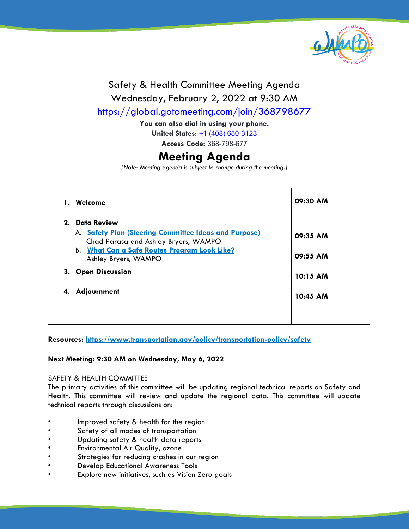

#### Safety & Health Committee Meeting Agenda Wednesday, February 2, 2022 at 9:30 AM <https://global.gotomeeting.com/join/368798677>

**You can also dial in using your phone. United States**: [+1 \(408\) 650-3123](tel:+14086503123,,368798677) **Access Code:** 368-798-677

### **Meeting Agenda**

*[Note: Meeting agenda is subject to change during the meeting.]*

| 1. | Welcome                                                                                       | 09:30 AM |
|----|-----------------------------------------------------------------------------------------------|----------|
|    | 2. Data Review                                                                                |          |
|    | A. Safety Plan (Steering Committee Ideas and Purpose)<br>Chad Parasa and Ashley Bryers, WAMPO | 09:35 AM |
|    | <b>B.</b> What Can a Safe Routes Program Look Like?<br>Ashley Bryers, WAMPO                   | 09:55 AM |
|    | 3. Open Discussion                                                                            | 10:15 AM |
| 4. | Adjournment                                                                                   | 10:45 AM |
|    |                                                                                               |          |

**Resources:<https://www.transportation.gov/policy/transportation-policy/safety>**

#### **Next Meeting: 9:30 AM on Wednesday, May 6, 2022**

#### SAFETY & HEALTH COMMITTEE

The primary activities of this committee will be updating regional technical reports on Safety and Health. This committee will review and update the regional data. This committee will update technical reports through discussions on:

- Improved safety & health for the region
- Safety of all modes of transportation
- Updating safety & health data reports
- Environmental Air Quality, ozone
- Strategies for reducing crashes in our region
- Develop Educational Awareness Tools
- Explore new initiatives, such as Vision Zero goals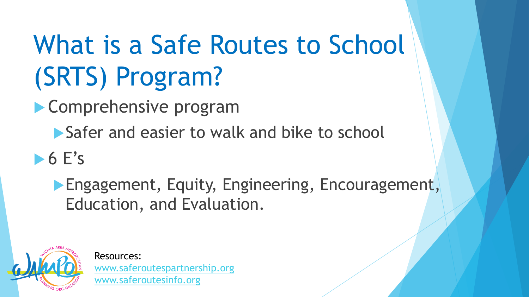# <span id="page-1-0"></span>What is a Safe Routes to School (SRTS) Program?

**Comprehensive program** 

Safer and easier to walk and bike to school

 $\triangleright$  6 E's

**Engagement, Equity, Engineering, Encouragement,** Education, and Evaluation.



Resources: [www.saferoutespartnership.org](http://www.saferoutespartnership.org/) [www.saferoutesinfo.org](https://www.saferoutesinfo.org/)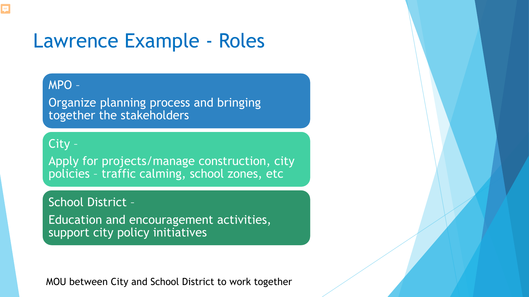## Lawrence Example - Roles

### MPO –

Organize planning process and bringing together the stakeholders

#### City –

Apply for projects/manage construction, city policies – traffic calming, school zones, etc

### School District –

Education and encouragement activities, support city policy initiatives

MOU between City and School District to work together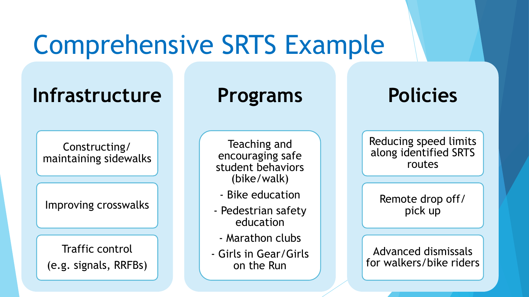# Comprehensive SRTS Example

## **Infrastructure**

Constructing/ maintaining sidewalks

Improving crosswalks

Traffic control (e.g. signals, RRFBs)

### **Programs**

Teaching and encouraging safe student behaviors (bike/walk)

- Bike education
- Pedestrian safety education
	- Marathon clubs
- Girls in Gear/Girls on the Run

## **Policies**

Reducing speed limits along identified SRTS routes

Remote drop off/ pick up

Advanced dismissals for walkers/bike riders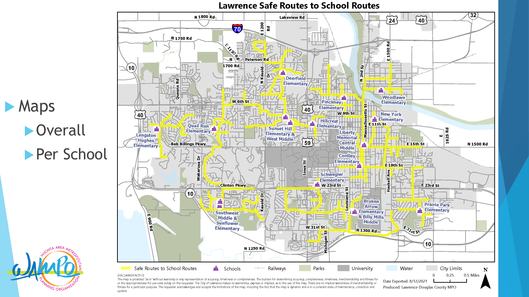

update.

**Lawrence Safe Routes to School Routes**